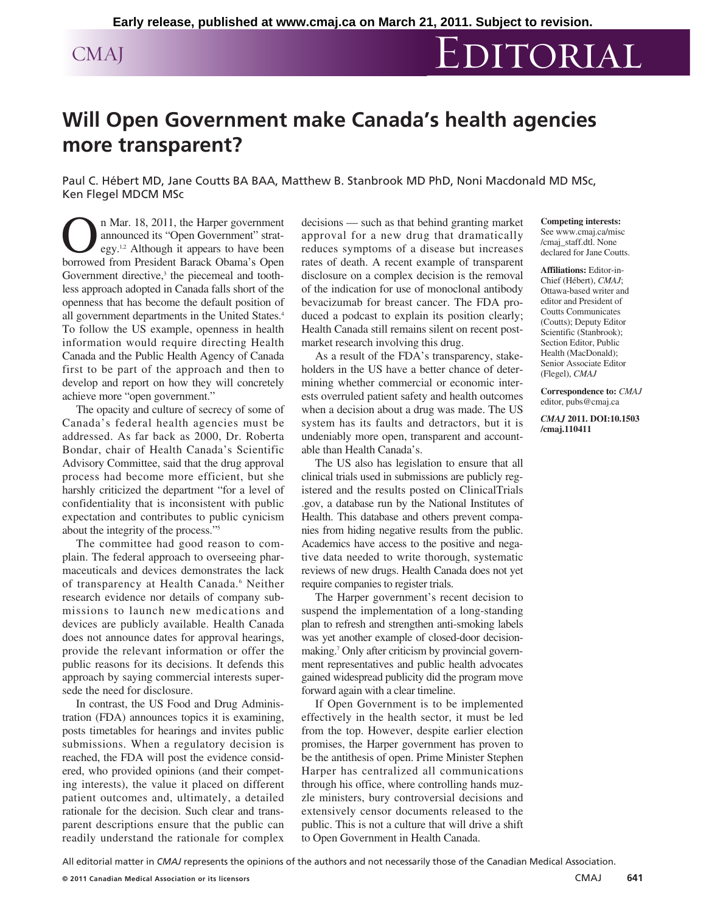## CMAJ EDITORIAL

## **Will Open Government make Canada's health agencies more transparent?**

Paul C. Hébert MD, Jane Coutts BA BAA, Matthew B. Stanbrook MD PhD, Noni Macdonald MD MSc, Ken Flegel MDCM MSc

**On Mar. 18, 2011, the Harper government**<br>announced its "Open Government" strat-<br>egy.<sup>1,2</sup> Although it appears to have been<br>horrowed from President Barack Obama's Open announced its "Open Government" strategy.<sup>1,2</sup> Although it appears to have been borrowed from President Barack Obama's Open Government directive,<sup>3</sup> the piecemeal and toothless approach adopted in Canada falls short of the openness that has become the default position of all government departments in the United States.<sup>4</sup> To follow the US example, openness in health information would require directing Health Canada and the Public Health Agency of Canada first to be part of the approach and then to develop and report on how they will concretely achieve more "open government."

The opacity and culture of secrecy of some of Canada's federal health agencies must be addressed. As far back as 2000, Dr. Roberta Bondar, chair of Health Canada's Scientific Advisory Committee, said that the drug approval process had become more efficient, but she harshly criticized the department "for a level of confidentiality that is inconsistent with public expectation and contributes to public cynicism about the integrity of the process."5

The committee had good reason to complain. The federal approach to overseeing pharmaceuticals and devices demonstrates the lack of transparency at Health Canada.<sup>6</sup> Neither research evidence nor details of company submissions to launch new medications and devices are publicly available. Health Canada does not announce dates for approval hearings, provide the relevant information or offer the public reasons for its decisions. It defends this approach by saying commercial interests supersede the need for disclosure.

In contrast, the US Food and Drug Administration (FDA) announces topics it is examining, posts timetables for hearings and invites public submissions. When a regulatory decision is reached, the FDA will post the evidence considered, who provided opinions (and their competing interests), the value it placed on different patient outcomes and, ultimately, a detailed rationale for the decision. Such clear and transparent descriptions ensure that the public can readily understand the rationale for complex decisions — such as that behind granting market approval for a new drug that dramatically reduces symptoms of a disease but increases rates of death. A recent example of transparent disclosure on a complex decision is the removal of the indication for use of monoclonal antibody bevacizumab for breast cancer. The FDA produced a podcast to explain its position clearly; Health Canada still remains silent on recent postmarket research involving this drug.

As a result of the FDA's transparency, stakeholders in the US have a better chance of determining whether commercial or economic interests overruled patient safety and health outcomes when a decision about a drug was made. The US system has its faults and detractors, but it is undeniably more open, transparent and accountable than Health Canada's.

The US also has legislation to ensure that all clinical trials used in submissions are publicly registered and the results posted on ClinicalTrials .gov, a database run by the National Institutes of Health. This database and others prevent companies from hiding negative results from the public. Academics have access to the positive and negative data needed to write thorough, systematic reviews of new drugs. Health Canada does not yet require companies to register trials.

The Harper government's recent decision to suspend the implementation of a long-standing plan to refresh and strengthen anti-smoking labels was yet another example of closed-door decisionmaking.7 Only after criticism by provincial government representatives and public health advocates gained widespread publicity did the program move forward again with a clear timeline.

If Open Government is to be implemented effectively in the health sector, it must be led from the top. However, despite earlier election promises, the Harper government has proven to be the antithesis of open. Prime Minister Stephen Harper has centralized all communications through his office, where controlling hands muzzle ministers, bury controversial decisions and extensively censor documents released to the public. This is not a culture that will drive a shift to Open Government in Health Canada.

**Competing interests:** See www.cmaj.ca/misc /cmaj\_staff.dtl. None declared for Jane Coutts.

**Affiliations:** Editor-in-Chief (Hébert), *CMAJ*; Ottawa-based writer and editor and President of Coutts Communicates (Coutts); Deputy Editor Scientific (Stanbrook); Section Editor, Public Health (MacDonald); Senior Associate Editor (Flegel), *CMAJ*

**Correspondence to:** *CMAJ* editor, pubs@cmaj.ca

*CMAJ* **2011. DOI:10.1503 /cmaj.110411**

All editorial matter in *CMAJ* represents the opinions of the authors and not necessarily those of the Canadian Medical Association.